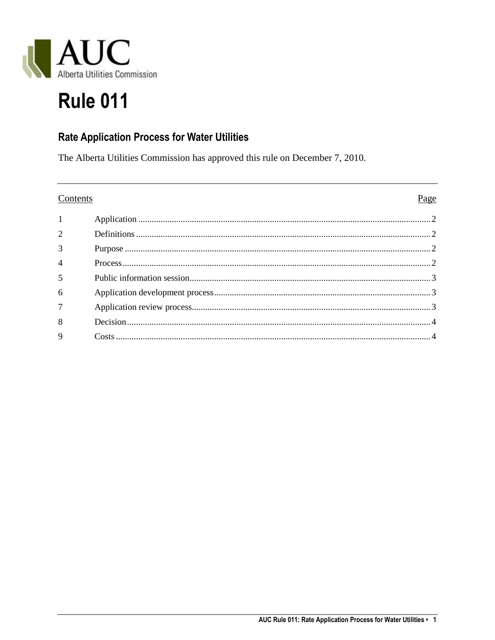

# **Rule 011**

# **Rate Application Process for Water Utilities**

The Alberta Utilities Commission has approved this rule on December 7, 2010.

| Contents               | Page |
|------------------------|------|
| $1 \quad \blacksquare$ |      |
| 2                      |      |
| $\overline{3}$         |      |
| $\overline{4}$         |      |
| 5                      |      |
| 6                      |      |
| $\overline{7}$         |      |
| 8                      |      |
| 9                      |      |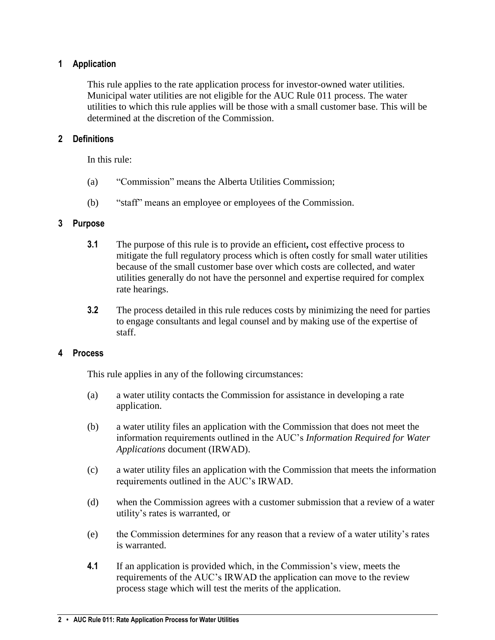# <span id="page-1-0"></span>**1 Application**

This rule applies to the rate application process for investor-owned water utilities. Municipal water utilities are not eligible for the AUC Rule 011 process. The water utilities to which this rule applies will be those with a small customer base. This will be determined at the discretion of the Commission.

## <span id="page-1-1"></span>**2 Definitions**

In this rule:

- (a) "Commission" means the Alberta Utilities Commission;
- (b) "staff" means an employee or employees of the Commission.

#### <span id="page-1-2"></span>**3 Purpose**

- **3.1** The purpose of this rule is to provide an efficient**,** cost effective process to mitigate the full regulatory process which is often costly for small water utilities because of the small customer base over which costs are collected, and water utilities generally do not have the personnel and expertise required for complex rate hearings.
- **3.2** The process detailed in this rule reduces costs by minimizing the need for parties to engage consultants and legal counsel and by making use of the expertise of staff.

#### <span id="page-1-3"></span>**4 Process**

This rule applies in any of the following circumstances:

- (a) a water utility contacts the Commission for assistance in developing a rate application.
- (b) a water utility files an application with the Commission that does not meet the information requirements outlined in the AUC's *Information Required for Water Applications* document (IRWAD).
- (c) a water utility files an application with the Commission that meets the information requirements outlined in the AUC's IRWAD.
- (d) when the Commission agrees with a customer submission that a review of a water utility's rates is warranted, or
- (e) the Commission determines for any reason that a review of a water utility's rates is warranted.
- **4.1** If an application is provided which, in the Commission's view, meets the requirements of the AUC's IRWAD the application can move to the review process stage which will test the merits of the application.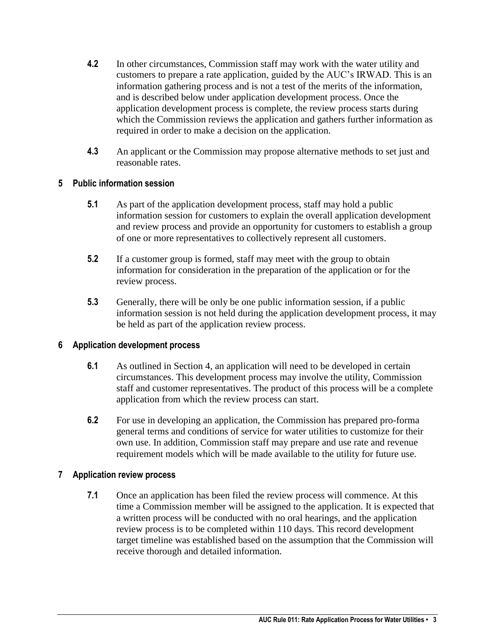- **4.2** In other circumstances, Commission staff may work with the water utility and customers to prepare a rate application, guided by the AUC's IRWAD. This is an information gathering process and is not a test of the merits of the information, and is described below under application development process. Once the application development process is complete, the review process starts during which the Commission reviews the application and gathers further information as required in order to make a decision on the application.
- **4.3** An applicant or the Commission may propose alternative methods to set just and reasonable rates.

## <span id="page-2-0"></span>**5 Public information session**

- **5.1** As part of the application development process, staff may hold a public information session for customers to explain the overall application development and review process and provide an opportunity for customers to establish a group of one or more representatives to collectively represent all customers.
- **5.2** If a customer group is formed, staff may meet with the group to obtain information for consideration in the preparation of the application or for the review process.
- **5.3** Generally, there will be only be one public information session, if a public information session is not held during the application development process, it may be held as part of the application review process.

## <span id="page-2-1"></span>**6 Application development process**

- **6.1** As outlined in Section 4, an application will need to be developed in certain circumstances. This development process may involve the utility, Commission staff and customer representatives. The product of this process will be a complete application from which the review process can start.
- **6.2** For use in developing an application, the Commission has prepared pro-forma general terms and conditions of service for water utilities to customize for their own use. In addition, Commission staff may prepare and use rate and revenue requirement models which will be made available to the utility for future use.

# <span id="page-2-2"></span>**7 Application review process**

**7.1** Once an application has been filed the review process will commence. At this time a Commission member will be assigned to the application. It is expected that a written process will be conducted with no oral hearings, and the application review process is to be completed within 110 days. This record development target timeline was established based on the assumption that the Commission will receive thorough and detailed information.